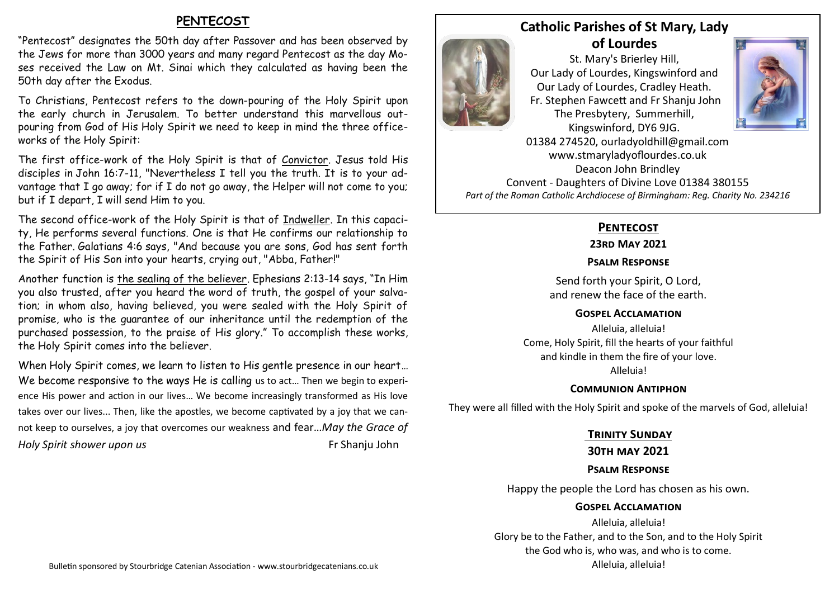# **PENTECOST**

"Pentecost" designates the 50th day after Passover and has been observed by the Jews for more than 3000 years and many regard Pentecost as the day Moses received the Law on Mt. Sinai which they calculated as having been the 50th day after the Exodus.

To Christians, Pentecost refers to the down-pouring of the Holy Spirit upon the early church in Jerusalem. To better understand this marvellous outpouring from God of His Holy Spirit we need to keep in mind the three officeworks of the Holy Spirit:

The first office-work of the Holy Spirit is that of Convictor. Jesus told His disciples in John 16:7-11, "Nevertheless I tell you the truth. It is to your advantage that I go away; for if I do not go away, the Helper will not come to you; but if I depart, I will send Him to you.

The second office-work of the Holy Spirit is that of Indweller. In this capacity, He performs several functions. One is that He confirms our relationship to the Father. Galatians 4:6 says, "And because you are sons, God has sent forth the Spirit of His Son into your hearts, crying out, "Abba, Father!"

Another function is the sealing of the believer. Ephesians 2:13-14 says, "In Him you also trusted, after you heard the word of truth, the gospel of your salvation; in whom also, having believed, you were sealed with the Holy Spirit of promise, who is the guarantee of our inheritance until the redemption of the purchased possession, to the praise of His glory." To accomplish these works, the Holy Spirit comes into the believer.

When Holy Spirit comes, we learn to listen to His gentle presence in our heart… We become responsive to the ways He is calling us to act... Then we begin to experience His power and action in our lives… We become increasingly transformed as His love takes over our lives... Then, like the apostles, we become captivated by a joy that we cannot keep to ourselves, a joy that overcomes our weakness and fear…*May the Grace of Holy Spirit shower upon us* **Fig. 2.1 And Spirit Shower upon us Fig. 2.1 And Spirit Shower upon us Fig. 2.1 And Spirit Shower upon us** 

# **Catholic Parishes of St Mary, Lady of Lourdes**





01384 274520, ourladyoldhill@gmail.com www.stmaryladyoflourdes.co.uk Deacon John Brindley Convent - Daughters of Divine Love 01384 380155 *Part of the Roman Catholic Archdiocese of Birmingham: Reg. Charity No. 234216*

# **Pentecost**

#### **23rd May 2021**

### **Psalm Response**

Send forth your Spirit, O Lord, and renew the face of the earth.

#### **Gospel Acclamation**

Alleluia, alleluia! Come, Holy Spirit, fill the hearts of your faithful and kindle in them the fire of your love. Alleluia!

## **Communion Antiphon**

They were all filled with the Holy Spirit and spoke of the marvels of God, alleluia!

## **Trinity Sunday**

## **30th may 2021**

## **Psalm Response**

Happy the people the Lord has chosen as his own.

## **Gospel Acclamation**

Alleluia, alleluia! Glory be to the Father, and to the Son, and to the Holy Spirit the God who is, who was, and who is to come. Alleluia, alleluia!